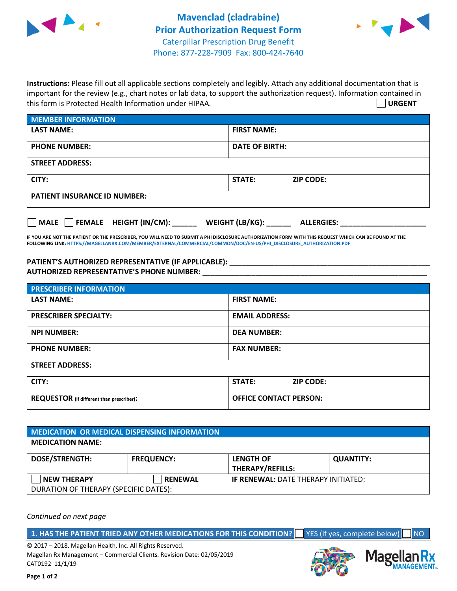



**Instructions:** Please fill out all applicable sections completely and legibly. Attach any additional documentation that is important for the review (e.g., chart notes or lab data, to support the authorization request). Information contained in this form is Protected Health Information under HIPAA. **URGENT**

| <b>MEMBER INFORMATION</b>             |                                      |  |  |  |
|---------------------------------------|--------------------------------------|--|--|--|
| <b>LAST NAME:</b>                     | <b>FIRST NAME:</b>                   |  |  |  |
| <b>PHONE NUMBER:</b>                  | <b>DATE OF BIRTH:</b>                |  |  |  |
| <b>STREET ADDRESS:</b>                |                                      |  |  |  |
| CITY:                                 | <b>STATE:</b><br><b>ZIP CODE:</b>    |  |  |  |
| <b>PATIENT INSURANCE ID NUMBER:</b>   |                                      |  |  |  |
| FEMALE HEIGHT (IN/CM):<br><b>MALE</b> | WEIGHT (LB/KG):<br><b>ALLERGIES:</b> |  |  |  |

**IF YOU ARE NOT THE PATIENT OR THE PRESCRIBER, YOU WILL NEED TO SUBMIT A PHI DISCLOSURE AUTHORIZATION FORM WITH THIS REQUEST WHICH CAN BE FOUND AT THE FOLLOWING LINK[: HTTPS://MAGELLANRX.COM/MEMBER/EXTERNAL/COMMERCIAL/COMMON/DOC/EN-US/PHI\\_DISCLOSURE\\_AUTHORIZATION.PDF](https://magellanrx.com/member/external/commercial/common/doc/en-us/PHI_Disclosure_Authorization.pdf)**

PATIENT'S AUTHORIZED REPRESENTATIVE (IF APPLICABLE): \_\_\_\_\_\_\_\_\_\_\_\_\_\_\_\_\_\_\_\_\_\_\_\_\_\_\_ **AUTHORIZED REPRESENTATIVE'S PHONE NUMBER:** \_\_\_\_\_\_\_\_\_\_\_\_\_\_\_\_\_\_\_\_\_\_\_\_\_\_\_\_\_\_\_\_\_\_\_\_\_\_\_\_\_\_\_\_\_\_\_\_\_\_\_\_\_\_\_

| <b>PRESCRIBER INFORMATION</b>             |                               |  |  |
|-------------------------------------------|-------------------------------|--|--|
| <b>LAST NAME:</b>                         | <b>FIRST NAME:</b>            |  |  |
| <b>PRESCRIBER SPECIALTY:</b>              | <b>EMAIL ADDRESS:</b>         |  |  |
| <b>NPI NUMBER:</b>                        | <b>DEA NUMBER:</b>            |  |  |
| <b>PHONE NUMBER:</b>                      | <b>FAX NUMBER:</b>            |  |  |
| <b>STREET ADDRESS:</b>                    |                               |  |  |
| CITY:                                     | STATE:<br><b>ZIP CODE:</b>    |  |  |
| REQUESTOR (if different than prescriber): | <b>OFFICE CONTACT PERSON:</b> |  |  |

| <b>MEDICATION OR MEDICAL DISPENSING INFORMATION</b> |                   |                                            |                  |  |  |
|-----------------------------------------------------|-------------------|--------------------------------------------|------------------|--|--|
| <b>MEDICATION NAME:</b>                             |                   |                                            |                  |  |  |
| <b>DOSE/STRENGTH:</b>                               | <b>FREQUENCY:</b> | <b>LENGTH OF</b>                           | <b>QUANTITY:</b> |  |  |
|                                                     |                   | <b>THERAPY/REFILLS:</b>                    |                  |  |  |
| <b>NEW THERAPY</b>                                  | <b>RENEWAL</b>    | <b>IF RENEWAL: DATE THERAPY INITIATED:</b> |                  |  |  |
| DURATION OF THERAPY (SPECIFIC DATES):               |                   |                                            |                  |  |  |

*Continued on next page*

**1. HAS THE PATIENT TRIED ANY OTHER MEDICATIONS FOR THIS CONDITION?** YES (if yes, complete below) NO

© 2017 – 2018, Magellan Health, Inc. All Rights Reserved. Magellan Rx Management – Commercial Clients. Revision Date: 02/05/2019 CAT0192 11/1/19